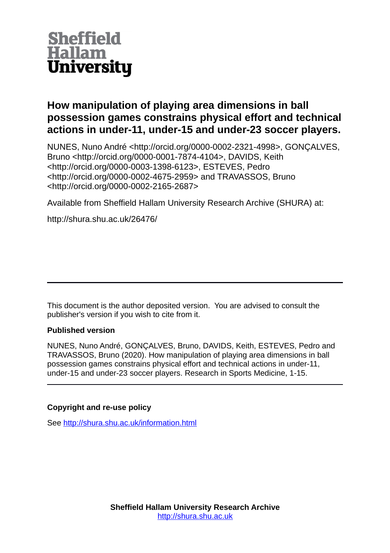

# **How manipulation of playing area dimensions in ball possession games constrains physical effort and technical actions in under-11, under-15 and under-23 soccer players.**

NUNES, Nuno André <http://orcid.org/0000-0002-2321-4998>, GONÇALVES, Bruno <http://orcid.org/0000-0001-7874-4104>, DAVIDS, Keith <http://orcid.org/0000-0003-1398-6123>, ESTEVES, Pedro <http://orcid.org/0000-0002-4675-2959> and TRAVASSOS, Bruno <http://orcid.org/0000-0002-2165-2687>

Available from Sheffield Hallam University Research Archive (SHURA) at:

http://shura.shu.ac.uk/26476/

This document is the author deposited version. You are advised to consult the publisher's version if you wish to cite from it.

# **Published version**

NUNES, Nuno André, GONÇALVES, Bruno, DAVIDS, Keith, ESTEVES, Pedro and TRAVASSOS, Bruno (2020). How manipulation of playing area dimensions in ball possession games constrains physical effort and technical actions in under-11, under-15 and under-23 soccer players. Research in Sports Medicine, 1-15.

# **Copyright and re-use policy**

See<http://shura.shu.ac.uk/information.html>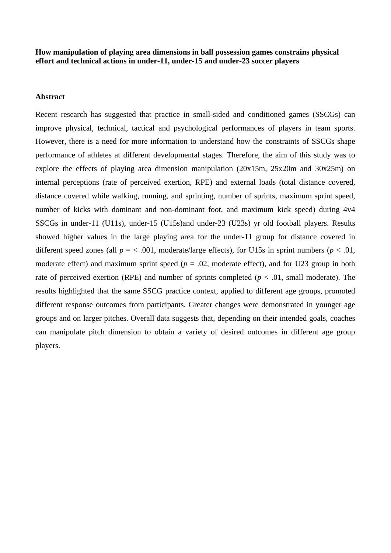**How manipulation of playing area dimensions in ball possession games constrains physical effort and technical actions in under-11, under-15 and under-23 soccer players**

### **Abstract**

Recent research has suggested that practice in small-sided and conditioned games (SSCGs) can improve physical, technical, tactical and psychological performances of players in team sports. However, there is a need for more information to understand how the constraints of SSCGs shape performance of athletes at different developmental stages. Therefore, the aim of this study was to explore the effects of playing area dimension manipulation (20x15m, 25x20m and 30x25m) on internal perceptions (rate of perceived exertion, RPE) and external loads (total distance covered, distance covered while walking, running, and sprinting, number of sprints, maximum sprint speed, number of kicks with dominant and non-dominant foot, and maximum kick speed) during 4v4 SSCGs in under-11 (U11s), under-15 (U15s)and under-23 (U23s) yr old football players. Results showed higher values in the large playing area for the under-11 group for distance covered in different speed zones (all  $p = < .001$ , moderate/large effects), for U15s in sprint numbers ( $p < .01$ , moderate effect) and maximum sprint speed  $(p = .02,$  moderate effect), and for U23 group in both rate of perceived exertion (RPE) and number of sprints completed ( $p < .01$ , small moderate). The results highlighted that the same SSCG practice context, applied to different age groups, promoted different response outcomes from participants. Greater changes were demonstrated in younger age groups and on larger pitches. Overall data suggests that, depending on their intended goals, coaches can manipulate pitch dimension to obtain a variety of desired outcomes in different age group players.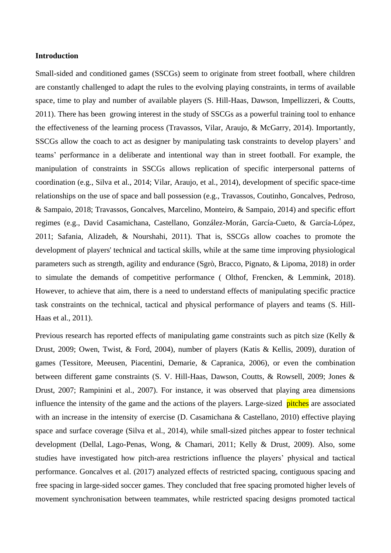# **Introduction**

Small-sided and conditioned games (SSCGs) seem to originate from street football, where children are constantly challenged to adapt the rules to the evolving playing constraints, in terms of available space, time to play and number of available players (S. Hill-Haas, Dawson, Impellizzeri, & Coutts, 2011). There has been growing interest in the study of SSCGs as a powerful training tool to enhance the effectiveness of the learning process (Travassos, Vilar, Araujo, & McGarry, 2014). Importantly, SSCGs allow the coach to act as designer by manipulating task constraints to develop players' and teams' performance in a deliberate and intentional way than in street football. For example, the manipulation of constraints in SSCGs allows replication of specific interpersonal patterns of coordination (e.g., Silva et al., 2014; Vilar, Araujo, et al., 2014), development of specific space-time relationships on the use of space and ball possession (e.g., Travassos, Coutinho, Goncalves, Pedroso, & Sampaio, 2018; Travassos, Goncalves, Marcelino, Monteiro, & Sampaio, 2014) and specific effort regimes (e.g., David Casamichana, Castellano, González-Morán, García-Cueto, & García-López, 2011; Safania, Alizadeh, & Nourshahi, 2011). That is, SSCGs allow coaches to promote the development of players' technical and tactical skills, while at the same time improving physiological parameters such as strength, agility and endurance (Sgrò, Bracco, Pignato, & Lipoma, 2018) in order to simulate the demands of competitive performance ( Olthof, Frencken, & Lemmink, 2018). However, to achieve that aim, there is a need to understand effects of manipulating specific practice task constraints on the technical, tactical and physical performance of players and teams (S. Hill-Haas et al., 2011).

Previous research has reported effects of manipulating game constraints such as pitch size (Kelly & Drust, 2009; Owen, Twist, & Ford, 2004), number of players (Katis & Kellis, 2009), duration of games (Tessitore, Meeusen, Piacentini, Demarie, & Capranica, 2006), or even the combination between different game constraints (S. V. Hill-Haas, Dawson, Coutts, & Rowsell, 2009; Jones & Drust, 2007; Rampinini et al., 2007). For instance, it was observed that playing area dimensions influence the intensity of the game and the actions of the players. Large-sized pitches are associated with an increase in the intensity of exercise (D. Casamichana & Castellano, 2010) effective playing space and surface coverage (Silva et al., 2014), while small-sized pitches appear to foster technical development (Dellal, Lago-Penas, Wong, & Chamari, 2011; Kelly & Drust, 2009). Also, some studies have investigated how pitch-area restrictions influence the players' physical and tactical performance. Goncalves et al. (2017) analyzed effects of restricted spacing, contiguous spacing and free spacing in large-sided soccer games. They concluded that free spacing promoted higher levels of movement synchronisation between teammates, while restricted spacing designs promoted tactical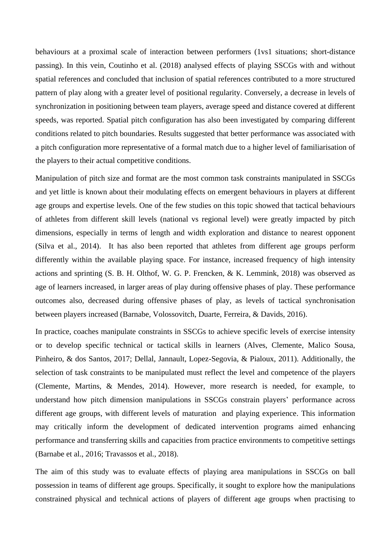behaviours at a proximal scale of interaction between performers (1vs1 situations; short-distance passing). In this vein, Coutinho et al. (2018) analysed effects of playing SSCGs with and without spatial references and concluded that inclusion of spatial references contributed to a more structured pattern of play along with a greater level of positional regularity. Conversely, a decrease in levels of synchronization in positioning between team players, average speed and distance covered at different speeds, was reported. Spatial pitch configuration has also been investigated by comparing different conditions related to pitch boundaries. Results suggested that better performance was associated with a pitch configuration more representative of a formal match due to a higher level of familiarisation of the players to their actual competitive conditions.

Manipulation of pitch size and format are the most common task constraints manipulated in SSCGs and yet little is known about their modulating effects on emergent behaviours in players at different age groups and expertise levels. One of the few studies on this topic showed that tactical behaviours of athletes from different skill levels (national vs regional level) were greatly impacted by pitch dimensions, especially in terms of length and width exploration and distance to nearest opponent (Silva et al., 2014). It has also been reported that athletes from different age groups perform differently within the available playing space. For instance, increased frequency of high intensity actions and sprinting (S. B. H. Olthof, W. G. P. Frencken, & K. Lemmink, 2018) was observed as age of learners increased, in larger areas of play during offensive phases of play. These performance outcomes also, decreased during offensive phases of play, as levels of tactical synchronisation between players increased (Barnabe, Volossovitch, Duarte, Ferreira, & Davids, 2016).

In practice, coaches manipulate constraints in SSCGs to achieve specific levels of exercise intensity or to develop specific technical or tactical skills in learners (Alves, Clemente, Malico Sousa, Pinheiro, & dos Santos, 2017; Dellal, Jannault, Lopez-Segovia, & Pialoux, 2011). Additionally, the selection of task constraints to be manipulated must reflect the level and competence of the players (Clemente, Martins, & Mendes, 2014). However, more research is needed, for example, to understand how pitch dimension manipulations in SSCGs constrain players' performance across different age groups, with different levels of maturation and playing experience. This information may critically inform the development of dedicated intervention programs aimed enhancing performance and transferring skills and capacities from practice environments to competitive settings (Barnabe et al., 2016; Travassos et al., 2018).

The aim of this study was to evaluate effects of playing area manipulations in SSCGs on ball possession in teams of different age groups. Specifically, it sought to explore how the manipulations constrained physical and technical actions of players of different age groups when practising to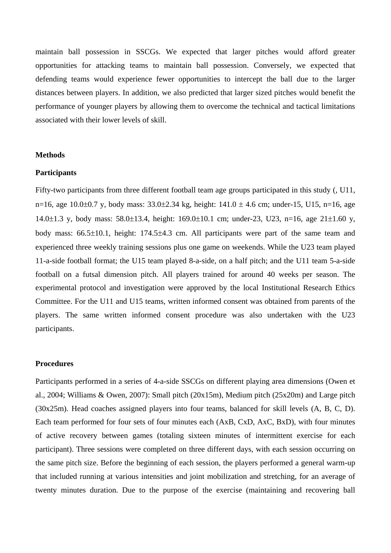maintain ball possession in SSCGs. We expected that larger pitches would afford greater opportunities for attacking teams to maintain ball possession. Conversely, we expected that defending teams would experience fewer opportunities to intercept the ball due to the larger distances between players. In addition, we also predicted that larger sized pitches would benefit the performance of younger players by allowing them to overcome the technical and tactical limitations associated with their lower levels of skill.

#### **Methods**

#### **Participants**

Fifty-two participants from three different football team age groups participated in this study (, U11, n=16, age 10.0 $\pm$ 0.7 y, body mass: 33.0 $\pm$ 2.34 kg, height: 141.0  $\pm$  4.6 cm; under-15, U15, n=16, age 14.0 $\pm$ 1.3 y, body mass: 58.0 $\pm$ 13.4, height: 169.0 $\pm$ 10.1 cm; under-23, U23, n=16, age 21 $\pm$ 1.60 y, body mass:  $66.5\pm10.1$ , height:  $174.5\pm4.3$  cm. All participants were part of the same team and experienced three weekly training sessions plus one game on weekends. While the U23 team played 11-a-side football format; the U15 team played 8-a-side, on a half pitch; and the U11 team 5-a-side football on a futsal dimension pitch. All players trained for around 40 weeks per season. The experimental protocol and investigation were approved by the local Institutional Research Ethics Committee. For the U11 and U15 teams, written informed consent was obtained from parents of the players. The same written informed consent procedure was also undertaken with the U23 participants.

## **Procedures**

Participants performed in a series of 4-a-side SSCGs on different playing area dimensions (Owen et al., 2004; Williams & Owen, 2007): Small pitch (20x15m), Medium pitch (25x20m) and Large pitch (30x25m). Head coaches assigned players into four teams, balanced for skill levels (A, B, C, D). Each team performed for four sets of four minutes each (AxB, CxD, AxC, BxD), with four minutes of active recovery between games (totaling sixteen minutes of intermittent exercise for each participant). Three sessions were completed on three different days, with each session occurring on the same pitch size. Before the beginning of each session, the players performed a general warm-up that included running at various intensities and joint mobilization and stretching, for an average of twenty minutes duration. Due to the purpose of the exercise (maintaining and recovering ball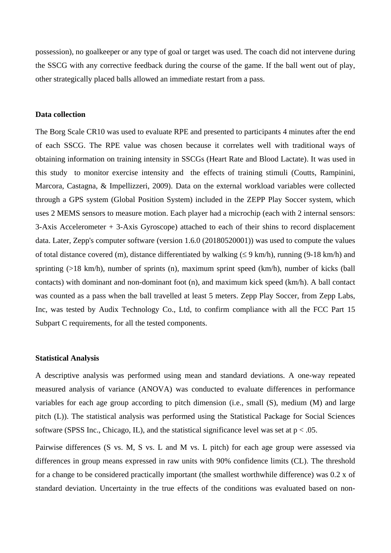possession), no goalkeeper or any type of goal or target was used. The coach did not intervene during the SSCG with any corrective feedback during the course of the game. If the ball went out of play, other strategically placed balls allowed an immediate restart from a pass.

#### **Data collection**

The Borg Scale CR10 was used to evaluate RPE and presented to participants 4 minutes after the end of each SSCG. The RPE value was chosen because it correlates well with traditional ways of obtaining information on training intensity in SSCGs (Heart Rate and Blood Lactate). It was used in this study to monitor exercise intensity and the effects of training stimuli (Coutts, Rampinini, Marcora, Castagna, & Impellizzeri, 2009). Data on the external workload variables were collected through a GPS system (Global Position System) included in the ZEPP Play Soccer system, which uses 2 MEMS sensors to measure motion. Each player had a microchip (each with 2 internal sensors: 3-Axis Accelerometer + 3-Axis Gyroscope) attached to each of their shins to record displacement data. Later, Zepp's computer software (version 1.6.0 (20180520001)) was used to compute the values of total distance covered (m), distance differentiated by walking  $(\leq 9 \text{ km/h})$ , running (9-18 km/h) and sprinting (>18 km/h), number of sprints (n), maximum sprint speed (km/h), number of kicks (ball contacts) with dominant and non-dominant foot (n), and maximum kick speed (km/h). A ball contact was counted as a pass when the ball travelled at least 5 meters. Zepp Play Soccer, from Zepp Labs, Inc, was tested by Audix Technology Co., Ltd, to confirm compliance with all the FCC Part 15 Subpart C requirements, for all the tested components.

#### **Statistical Analysis**

A descriptive analysis was performed using mean and standard deviations. A one-way repeated measured analysis of variance (ANOVA) was conducted to evaluate differences in performance variables for each age group according to pitch dimension (i.e., small (S), medium (M) and large pitch (L)). The statistical analysis was performed using the Statistical Package for Social Sciences software (SPSS Inc., Chicago, IL), and the statistical significance level was set at  $p < .05$ .

Pairwise differences (S vs. M, S vs. L and M vs. L pitch) for each age group were assessed via differences in group means expressed in raw units with 90% confidence limits (CL). The threshold for a change to be considered practically important (the smallest worthwhile difference) was 0.2 x of standard deviation. Uncertainty in the true effects of the conditions was evaluated based on non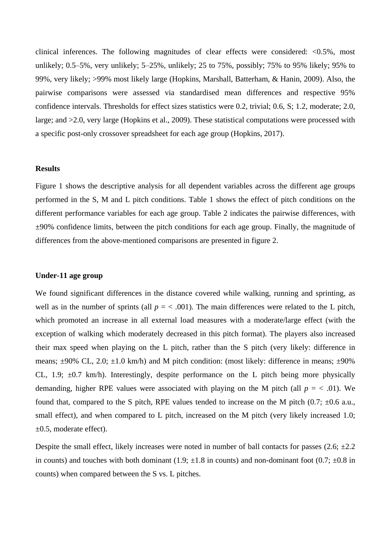clinical inferences. The following magnitudes of clear effects were considered: <0.5%, most unlikely; 0.5–5%, very unlikely; 5–25%, unlikely; 25 to 75%, possibly; 75% to 95% likely; 95% to 99%, very likely; >99% most likely large (Hopkins, Marshall, Batterham, & Hanin, 2009). Also, the pairwise comparisons were assessed via standardised mean differences and respective 95% confidence intervals. Thresholds for effect sizes statistics were 0.2, trivial; 0.6, S; 1.2, moderate; 2.0, large; and >2.0, very large (Hopkins et al., 2009). These statistical computations were processed with a specific post-only crossover spreadsheet for each age group (Hopkins, 2017).

# **Results**

Figure 1 shows the descriptive analysis for all dependent variables across the different age groups performed in the S, M and L pitch conditions. Table 1 shows the effect of pitch conditions on the different performance variables for each age group. Table 2 indicates the pairwise differences, with  $\pm 90\%$  confidence limits, between the pitch conditions for each age group. Finally, the magnitude of differences from the above-mentioned comparisons are presented in figure 2.

#### **Under-11 age group**

We found significant differences in the distance covered while walking, running and sprinting, as well as in the number of sprints (all  $p = < .001$ ). The main differences were related to the L pitch, which promoted an increase in all external load measures with a moderate/large effect (with the exception of walking which moderately decreased in this pitch format). The players also increased their max speed when playing on the L pitch, rather than the S pitch (very likely: difference in means;  $\pm 90\%$  CL, 2.0;  $\pm 1.0$  km/h) and M pitch condition: (most likely: difference in means;  $\pm 90\%$ CL, 1.9;  $\pm 0.7$  km/h). Interestingly, despite performance on the L pitch being more physically demanding, higher RPE values were associated with playing on the M pitch (all  $p = < .01$ ). We found that, compared to the S pitch, RPE values tended to increase on the M pitch  $(0.7; \pm 0.6 \text{ a.u.})$ small effect), and when compared to L pitch, increased on the M pitch (very likely increased 1.0; ±0.5, moderate effect).

Despite the small effect, likely increases were noted in number of ball contacts for passes  $(2.6; \pm 2.2)$ in counts) and touches with both dominant (1.9;  $\pm 1.8$  in counts) and non-dominant foot (0.7;  $\pm 0.8$  in counts) when compared between the S vs. L pitches.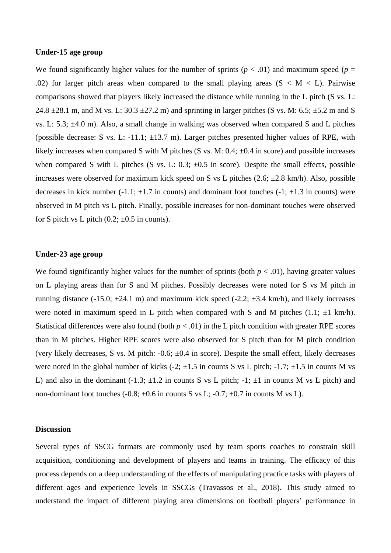#### **Under-15 age group**

We found significantly higher values for the number of sprints ( $p < .01$ ) and maximum speed ( $p =$ .02) for larger pitch areas when compared to the small playing areas  $(S < M < L)$ . Pairwise comparisons showed that players likely increased the distance while running in the L pitch (S vs. L: 24.8  $\pm$ 28.1 m, and M vs. L: 30.3  $\pm$ 27.2 m) and sprinting in larger pitches (S vs. M: 6.5;  $\pm$ 5.2 m and S vs. L: 5.3; ±4.0 m). Also, a small change in walking was observed when compared S and L pitches (possible decrease: S vs. L: -11.1;  $\pm$ 13.7 m). Larger pitches presented higher values of RPE, with likely increases when compared S with M pitches (S vs. M:  $0.4$ ;  $\pm 0.4$  in score) and possible increases when compared S with L pitches (S vs. L:  $0.3$ ;  $\pm 0.5$  in score). Despite the small effects, possible increases were observed for maximum kick speed on S vs L pitches  $(2.6; \pm 2.8 \text{ km/h})$ . Also, possible decreases in kick number (-1.1;  $\pm$ 1.7 in counts) and dominant foot touches (-1;  $\pm$ 1.3 in counts) were observed in M pitch vs L pitch. Finally, possible increases for non-dominant touches were observed for S pitch vs L pitch  $(0.2; \pm 0.5)$  in counts).

#### **Under-23 age group**

We found significantly higher values for the number of sprints (both  $p < .01$ ), having greater values on L playing areas than for S and M pitches. Possibly decreases were noted for S vs M pitch in running distance (-15.0;  $\pm 24.1$  m) and maximum kick speed (-2.2;  $\pm 3.4$  km/h), and likely increases were noted in maximum speed in L pitch when compared with S and M pitches  $(1.1; \pm 1 \text{ km/h})$ . Statistical differences were also found (both  $p < .01$ ) in the L pitch condition with greater RPE scores than in M pitches. Higher RPE scores were also observed for S pitch than for M pitch condition (very likely decreases, S vs. M pitch:  $-0.6$ ;  $\pm 0.4$  in score). Despite the small effect, likely decreases were noted in the global number of kicks  $(-2, \pm 1.5$  in counts S vs L pitch;  $-1.7$ ;  $\pm 1.5$  in counts M vs L) and also in the dominant  $(-1.3; \pm 1.2$  in counts S vs L pitch;  $-1$ ;  $\pm 1$  in counts M vs L pitch) and non-dominant foot touches  $(-0.8; \pm 0.6)$  in counts S vs L;  $-0.7; \pm 0.7$  in counts M vs L).

#### **Discussion**

Several types of SSCG formats are commonly used by team sports coaches to constrain skill acquisition, conditioning and development of players and teams in training. The efficacy of this process depends on a deep understanding of the effects of manipulating practice tasks with players of different ages and experience levels in SSCGs (Travassos et al., 2018). This study aimed to understand the impact of different playing area dimensions on football players' performance in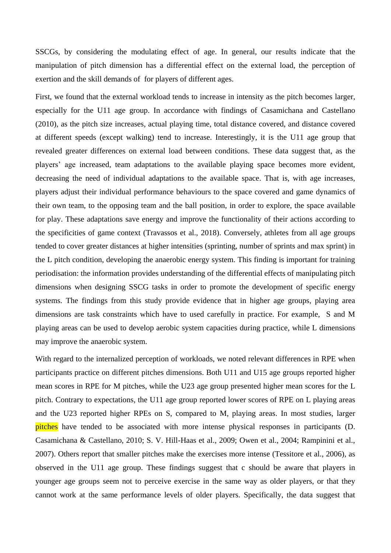SSCGs, by considering the modulating effect of age. In general, our results indicate that the manipulation of pitch dimension has a differential effect on the external load, the perception of exertion and the skill demands of for players of different ages.

First, we found that the external workload tends to increase in intensity as the pitch becomes larger, especially for the U11 age group. In accordance with findings of Casamichana and Castellano (2010), as the pitch size increases, actual playing time, total distance covered, and distance covered at different speeds (except walking) tend to increase. Interestingly, it is the U11 age group that revealed greater differences on external load between conditions. These data suggest that, as the players' age increased, team adaptations to the available playing space becomes more evident, decreasing the need of individual adaptations to the available space. That is, with age increases, players adjust their individual performance behaviours to the space covered and game dynamics of their own team, to the opposing team and the ball position, in order to explore, the space available for play. These adaptations save energy and improve the functionality of their actions according to the specificities of game context (Travassos et al., 2018). Conversely, athletes from all age groups tended to cover greater distances at higher intensities (sprinting, number of sprints and max sprint) in the L pitch condition, developing the anaerobic energy system. This finding is important for training periodisation: the information provides understanding of the differential effects of manipulating pitch dimensions when designing SSCG tasks in order to promote the development of specific energy systems. The findings from this study provide evidence that in higher age groups, playing area dimensions are task constraints which have to used carefully in practice. For example, S and M playing areas can be used to develop aerobic system capacities during practice, while L dimensions may improve the anaerobic system.

With regard to the internalized perception of workloads, we noted relevant differences in RPE when participants practice on different pitches dimensions. Both U11 and U15 age groups reported higher mean scores in RPE for M pitches, while the U23 age group presented higher mean scores for the L pitch. Contrary to expectations, the U11 age group reported lower scores of RPE on L playing areas and the U23 reported higher RPEs on S, compared to M, playing areas. In most studies, larger pitches have tended to be associated with more intense physical responses in participants (D. Casamichana & Castellano, 2010; S. V. Hill-Haas et al., 2009; Owen et al., 2004; Rampinini et al., 2007). Others report that smaller pitches make the exercises more intense (Tessitore et al., 2006), as observed in the U11 age group. These findings suggest that c should be aware that players in younger age groups seem not to perceive exercise in the same way as older players, or that they cannot work at the same performance levels of older players. Specifically, the data suggest that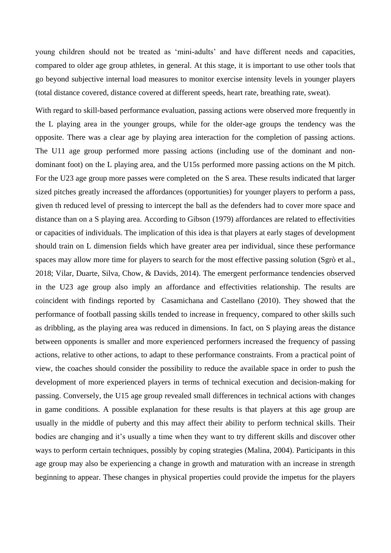young children should not be treated as 'mini-adults' and have different needs and capacities, compared to older age group athletes, in general. At this stage, it is important to use other tools that go beyond subjective internal load measures to monitor exercise intensity levels in younger players (total distance covered, distance covered at different speeds, heart rate, breathing rate, sweat).

With regard to skill-based performance evaluation, passing actions were observed more frequently in the L playing area in the younger groups, while for the older-age groups the tendency was the opposite. There was a clear age by playing area interaction for the completion of passing actions. The U11 age group performed more passing actions (including use of the dominant and nondominant foot) on the L playing area, and the U15s performed more passing actions on the M pitch. For the U23 age group more passes were completed on the S area. These results indicated that larger sized pitches greatly increased the affordances (opportunities) for younger players to perform a pass, given th reduced level of pressing to intercept the ball as the defenders had to cover more space and distance than on a S playing area. According to Gibson (1979) affordances are related to effectivities or capacities of individuals. The implication of this idea is that players at early stages of development should train on L dimension fields which have greater area per individual, since these performance spaces may allow more time for players to search for the most effective passing solution (Sgrò et al., 2018; Vilar, Duarte, Silva, Chow, & Davids, 2014). The emergent performance tendencies observed in the U23 age group also imply an affordance and effectivities relationship. The results are coincident with findings reported by Casamichana and Castellano (2010). They showed that the performance of football passing skills tended to increase in frequency, compared to other skills such as dribbling, as the playing area was reduced in dimensions. In fact, on S playing areas the distance between opponents is smaller and more experienced performers increased the frequency of passing actions, relative to other actions, to adapt to these performance constraints. From a practical point of view, the coaches should consider the possibility to reduce the available space in order to push the development of more experienced players in terms of technical execution and decision-making for passing. Conversely, the U15 age group revealed small differences in technical actions with changes in game conditions. A possible explanation for these results is that players at this age group are usually in the middle of puberty and this may affect their ability to perform technical skills. Their bodies are changing and it's usually a time when they want to try different skills and discover other ways to perform certain techniques, possibly by coping strategies (Malina, 2004). Participants in this age group may also be experiencing a change in growth and maturation with an increase in strength beginning to appear. These changes in physical properties could provide the impetus for the players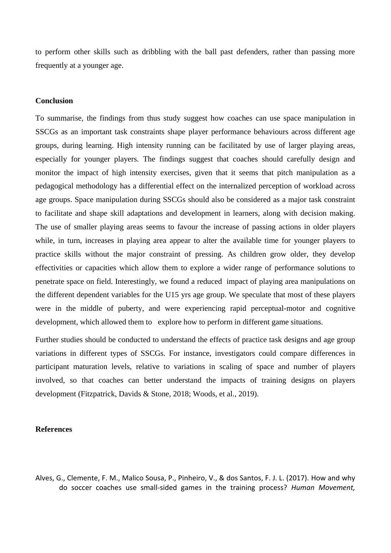to perform other skills such as dribbling with the ball past defenders, rather than passing more frequently at a younger age.

#### **Conclusion**

To summarise, the findings from thus study suggest how coaches can use space manipulation in SSCGs as an important task constraints shape player performance behaviours across different age groups, during learning. High intensity running can be facilitated by use of larger playing areas, especially for younger players. The findings suggest that coaches should carefully design and monitor the impact of high intensity exercises, given that it seems that pitch manipulation as a pedagogical methodology has a differential effect on the internalized perception of workload across age groups. Space manipulation during SSCGs should also be considered as a major task constraint to facilitate and shape skill adaptations and development in learners, along with decision making. The use of smaller playing areas seems to favour the increase of passing actions in older players while, in turn, increases in playing area appear to alter the available time for younger players to practice skills without the major constraint of pressing. As children grow older, they develop effectivities or capacities which allow them to explore a wider range of performance solutions to penetrate space on field. Interestingly, we found a reduced impact of playing area manipulations on the different dependent variables for the U15 yrs age group. We speculate that most of these players were in the middle of puberty, and were experiencing rapid perceptual-motor and cognitive development, which allowed them to explore how to perform in different game situations.

Further studies should be conducted to understand the effects of practice task designs and age group variations in different types of SSCGs. For instance, investigators could compare differences in participant maturation levels, relative to variations in scaling of space and number of players involved, so that coaches can better understand the impacts of training designs on players development (Fitzpatrick, Davids & Stone, 2018; Woods, et al., 2019).

#### **References**

Alves, G., Clemente, F. M., Malico Sousa, P., Pinheiro, V., & dos Santos, F. J. L. (2017). How and why do soccer coaches use small-sided games in the training process? *Human Movement,*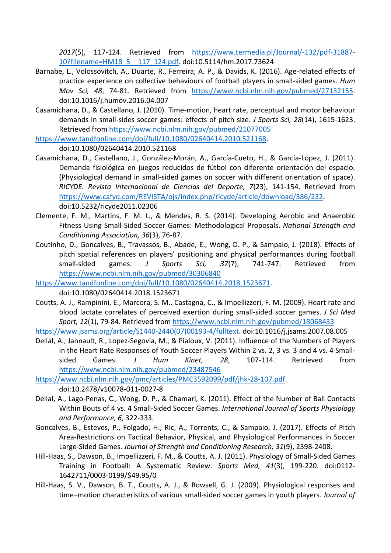*2017*(5), 117-124. Retrieved from [https://www.termedia.pl/Journal/-132/pdf-31887-](https://www.termedia.pl/Journal/-132/pdf-31887-10?filename=HM18_5__117_124.pdf) [10?filename=HM18\\_5\\_\\_117\\_124.pdf.](https://www.termedia.pl/Journal/-132/pdf-31887-10?filename=HM18_5__117_124.pdf) doi:10.5114/hm.2017.73624

- Barnabe, L., Volossovitch, A., Duarte, R., Ferreira, A. P., & Davids, K. (2016). Age-related effects of practice experience on collective behaviours of football players in small-sided games. *Hum Mov Sci, 48*, 74-81. Retrieved from [https://www.ncbi.nlm.nih.gov/pubmed/27132155.](https://www.ncbi.nlm.nih.gov/pubmed/27132155) doi:10.1016/j.humov.2016.04.007
- Casamichana, D., & Castellano, J. (2010). Time-motion, heart rate, perceptual and motor behaviour demands in small-sides soccer games: effects of pitch size. *J Sports Sci, 28*(14), 1615-1623. Retrieved from<https://www.ncbi.nlm.nih.gov/pubmed/21077005>

[https://www.tandfonline.com/doi/full/10.1080/02640414.2010.521168.](https://www.tandfonline.com/doi/full/10.1080/02640414.2010.521168)

doi:10.1080/02640414.2010.521168

- Casamichana, D., Castellano, J., González-Morán, A., García-Cueto, H., & García-López, J. (2011). Demanda fisiológica en juegos reducidos de fútbol con diferente orientación del espacio. (Physiological demand in small-sided games on soccer with different orientation of space). *RICYDE. Revista Internacional de Ciencias del Deporte, 7*(23), 141-154. Retrieved from [https://www.cafyd.com/REVISTA/ojs/index.php/ricyde/article/download/386/232.](https://www.cafyd.com/REVISTA/ojs/index.php/ricyde/article/download/386/232) doi:10.5232/ricyde2011.02306
- Clemente, F. M., Martins, F. M. L., & Mendes, R. S. (2014). Developing Aerobic and Anaerobic Fitness Using Small-Sided Soccer Games: Methodological Proposals. *National Strength and Conditioning Association, 36*(3), 76-87.
- Coutinho, D., Goncalves, B., Travassos, B., Abade, E., Wong, D. P., & Sampaio, J. (2018). Effects of pitch spatial references on players' positioning and physical performances during football small-sided games. *J Sports Sci, 37*(7), 741-747. Retrieved from <https://www.ncbi.nlm.nih.gov/pubmed/30306840>

[https://www.tandfonline.com/doi/full/10.1080/02640414.2018.1523671.](https://www.tandfonline.com/doi/full/10.1080/02640414.2018.1523671) doi:10.1080/02640414.2018.1523671

Coutts, A. J., Rampinini, E., Marcora, S. M., Castagna, C., & Impellizzeri, F. M. (2009). Heart rate and blood lactate correlates of perceived exertion during small-sided soccer games. *J Sci Med Sport, 12*(1), 79-84. Retrieved from<https://www.ncbi.nlm.nih.gov/pubmed/18068433>

[https://www.jsams.org/article/S1440-2440\(07\)00193-4/fulltext.](https://www.jsams.org/article/S1440-2440(07)00193-4/fulltext) doi:10.1016/j.jsams.2007.08.005

Dellal, A., Jannault, R., Lopez-Segovia, M., & Pialoux, V. (2011). Influence of the Numbers of Players in the Heart Rate Responses of Youth Soccer Players Within 2 vs. 2, 3 vs. 3 and 4 vs. 4 Smallsided Games. *J Hum Kinet, 28*, 107-114. Retrieved from <https://www.ncbi.nlm.nih.gov/pubmed/23487546>

[https://www.ncbi.nlm.nih.gov/pmc/articles/PMC3592099/pdf/jhk-28-107.pdf.](https://www.ncbi.nlm.nih.gov/pmc/articles/PMC3592099/pdf/jhk-28-107.pdf) doi:10.2478/v10078-011-0027-8

- Dellal, A., Lago-Penas, C., Wong, D. P., & Chamari, K. (2011). Effect of the Number of Ball Contacts Within Bouts of 4 vs. 4 Small-Sided Soccer Games. *International Journal of Sports Physiology and Performance, 6*, 322-333.
- Goncalves, B., Esteves, P., Folgado, H., Ric, A., Torrents, C., & Sampaio, J. (2017). Effects of Pitch Area-Restrictions on Tactical Behavior, Physical, and Physiological Performances in Soccer Large-Sided Games. *Journal of Strength and Conditioning Research, 31*(9), 2398-2408.
- Hill-Haas, S., Dawson, B., Impellizzeri, F. M., & Coutts, A. J. (2011). Physiology of Small-Sided Games Training in Football: A Systematic Review. *Sports Med, 41*(3), 199-220. doi:0112- 1642711/0003-0199/\$49.95/0
- Hill-Haas, S. V., Dawson, B. T., Coutts, A. J., & Rowsell, G. J. (2009). Physiological responses and time–motion characteristics of various small-sided soccer games in youth players. *Journal of*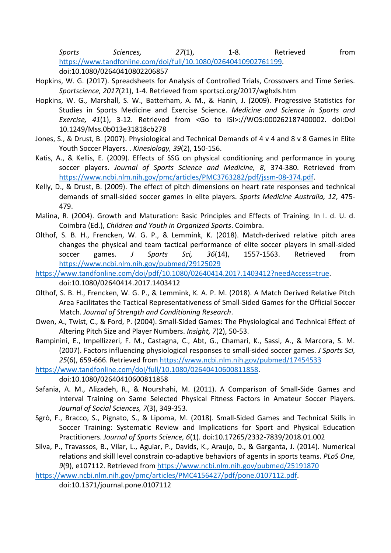*Sports Sciences, 27*(1), 1-8. Retrieved from [https://www.tandfonline.com/doi/full/10.1080/02640410902761199.](https://www.tandfonline.com/doi/full/10.1080/02640410902761199) doi:10.1080/02640410802206857

- Hopkins, W. G. (2017). Spreadsheets for Analysis of Controlled Trials, Crossovers and Time Series. *Sportscience, 2017*(21), 1-4. Retrieved from sportsci.org/2017/wghxls.htm
- Hopkins, W. G., Marshall, S. W., Batterham, A. M., & Hanin, J. (2009). Progressive Statistics for Studies in Sports Medicine and Exercise Science. *Medicine and Science in Sports and Exercise, 41*(1), 3-12. Retrieved from <Go to ISI>://WOS:000262187400002. doi:Doi 10.1249/Mss.0b013e31818cb278
- Jones, S., & Drust, B. (2007). Physiological and Technical Demands of 4 v 4 and 8 v 8 Games in Elite Youth Soccer Players. . *Kinesiology, 39*(2), 150-156.
- Katis, A., & Kellis, E. (2009). Effects of SSG on physical conditioning and performance in young soccer players. *Journal of Sports Science and Medicine, 8*, 374-380. Retrieved from [https://www.ncbi.nlm.nih.gov/pmc/articles/PMC3763282/pdf/jssm-08-374.pdf.](https://www.ncbi.nlm.nih.gov/pmc/articles/PMC3763282/pdf/jssm-08-374.pdf)
- Kelly, D., & Drust, B. (2009). The effect of pitch dimensions on heart rate responses and technical demands of small-sided soccer games in elite players. *Sports Medicine Australia, 12*, 475- 479.
- Malina, R. (2004). Growth and Maturation: Basic Principles and Effects of Training. In I. d. U. d. Coimbra (Ed.), *Children and Youth in Organized Sports*. Coimbra.
- Olthof, S. B. H., Frencken, W. G. P., & Lemmink, K. (2018). Match-derived relative pitch area changes the physical and team tactical performance of elite soccer players in small-sided soccer games. *J Sports Sci, 36*(14), 1557-1563. Retrieved from <https://www.ncbi.nlm.nih.gov/pubmed/29125029>
- [https://www.tandfonline.com/doi/pdf/10.1080/02640414.2017.1403412?needAccess=true.](https://www.tandfonline.com/doi/pdf/10.1080/02640414.2017.1403412?needAccess=true) doi:10.1080/02640414.2017.1403412
- Olthof, S. B. H., Frencken, W. G. P., & Lemmink, K. A. P. M. (2018). A Match Derived Relative Pitch Area Facilitates the Tactical Representativeness of Small-Sided Games for the Official Soccer Match. *Journal of Strength and Conditioning Research*.
- Owen, A., Twist, C., & Ford, P. (2004). Small-Sided Games: The Physiological and Technical Effect of Altering Pitch Size and Player Numbers. *Insight, 7*(2), 50-53.
- Rampinini, E., Impellizzeri, F. M., Castagna, C., Abt, G., Chamari, K., Sassi, A., & Marcora, S. M. (2007). Factors influencing physiological responses to small-sided soccer games. *J Sports Sci, 25*(6), 659-666. Retrieved from<https://www.ncbi.nlm.nih.gov/pubmed/17454533>

[https://www.tandfonline.com/doi/full/10.1080/02640410600811858.](https://www.tandfonline.com/doi/full/10.1080/02640410600811858)

doi:10.1080/02640410600811858

- Safania, A. M., Alizadeh, R., & Nourshahi, M. (2011). A Comparison of Small-Side Games and Interval Training on Same Selected Physical Fitness Factors in Amateur Soccer Players. *Journal of Social Sciences, 7*(3), 349-353.
- Sgrò, F., Bracco, S., Pignato, S., & Lipoma, M. (2018). Small-Sided Games and Technical Skills in Soccer Training: Systematic Review and Implications for Sport and Physical Education Practitioners. *Journal of Sports Science, 6*(1). doi:10.17265/2332-7839/2018.01.002
- Silva, P., Travassos, B., Vilar, L., Aguiar, P., Davids, K., Araujo, D., & Garganta, J. (2014). Numerical relations and skill level constrain co-adaptive behaviors of agents in sports teams. *PLoS One, 9*(9), e107112. Retrieved from<https://www.ncbi.nlm.nih.gov/pubmed/25191870>

[https://www.ncbi.nlm.nih.gov/pmc/articles/PMC4156427/pdf/pone.0107112.pdf.](https://www.ncbi.nlm.nih.gov/pmc/articles/PMC4156427/pdf/pone.0107112.pdf)

doi:10.1371/journal.pone.0107112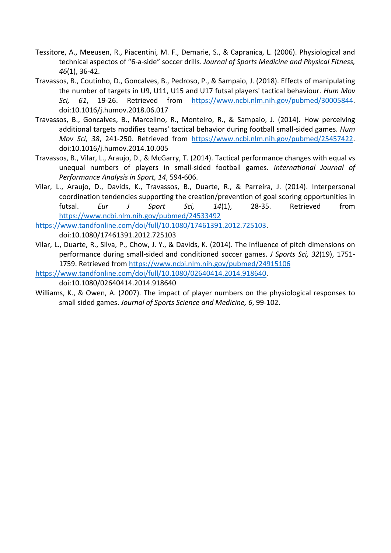- Tessitore, A., Meeusen, R., Piacentini, M. F., Demarie, S., & Capranica, L. (2006). Physiological and technical aspectos of "6-a-side" soccer drills. *Journal of Sports Medicine and Physical Fitness, 46*(1), 36-42.
- Travassos, B., Coutinho, D., Goncalves, B., Pedroso, P., & Sampaio, J. (2018). Effects of manipulating the number of targets in U9, U11, U15 and U17 futsal players' tactical behaviour. *Hum Mov Sci, 61*, 19-26. Retrieved from [https://www.ncbi.nlm.nih.gov/pubmed/30005844.](https://www.ncbi.nlm.nih.gov/pubmed/30005844) doi:10.1016/j.humov.2018.06.017
- Travassos, B., Goncalves, B., Marcelino, R., Monteiro, R., & Sampaio, J. (2014). How perceiving additional targets modifies teams' tactical behavior during football small-sided games. *Hum Mov Sci, 38*, 241-250. Retrieved from [https://www.ncbi.nlm.nih.gov/pubmed/25457422.](https://www.ncbi.nlm.nih.gov/pubmed/25457422) doi:10.1016/j.humov.2014.10.005
- Travassos, B., Vilar, L., Araujo, D., & McGarry, T. (2014). Tactical performance changes with equal vs unequal numbers of players in small-sided football games. *International Journal of Performance Analysis in Sport, 14*, 594-606.
- Vilar, L., Araujo, D., Davids, K., Travassos, B., Duarte, R., & Parreira, J. (2014). Interpersonal coordination tendencies supporting the creation/prevention of goal scoring opportunities in futsal. *Eur J Sport Sci, 14*(1), 28-35. Retrieved from <https://www.ncbi.nlm.nih.gov/pubmed/24533492>

[https://www.tandfonline.com/doi/full/10.1080/17461391.2012.725103.](https://www.tandfonline.com/doi/full/10.1080/17461391.2012.725103) doi:10.1080/17461391.2012.725103

- Vilar, L., Duarte, R., Silva, P., Chow, J. Y., & Davids, K. (2014). The influence of pitch dimensions on performance during small-sided and conditioned soccer games. *J Sports Sci, 32*(19), 1751- 1759. Retrieved from<https://www.ncbi.nlm.nih.gov/pubmed/24915106>
- [https://www.tandfonline.com/doi/full/10.1080/02640414.2014.918640.](https://www.tandfonline.com/doi/full/10.1080/02640414.2014.918640) doi:10.1080/02640414.2014.918640
- Williams, K., & Owen, A. (2007). The impact of player numbers on the physiological responses to small sided games. *Journal of Sports Science and Medicine, 6*, 99-102.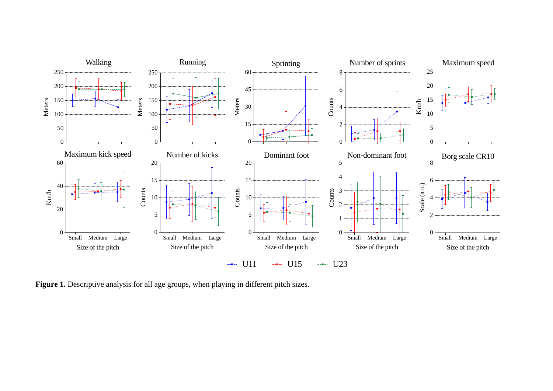

Figure 1. Descriptive analysis for all age groups, when playing in different pitch sizes.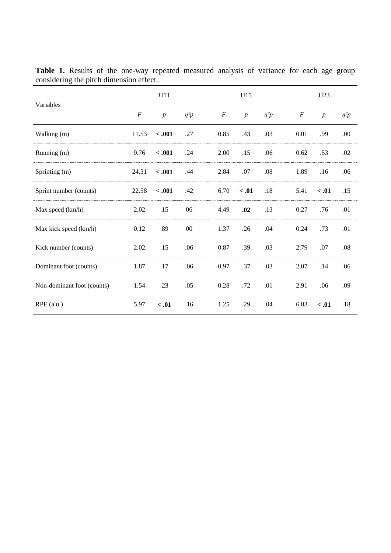| Variables                  | U11              |                  |            | U15              |                  |            |  | U23              |                  |            |
|----------------------------|------------------|------------------|------------|------------------|------------------|------------|--|------------------|------------------|------------|
|                            | $\boldsymbol{F}$ | $\boldsymbol{p}$ | $\eta^2 p$ | $\boldsymbol{F}$ | $\boldsymbol{p}$ | $\eta^2 p$ |  | $\boldsymbol{F}$ | $\boldsymbol{p}$ | $\eta^2 p$ |
| Walking (m)                | 11.53            | $-.001$          | .27        | 0.85             | .43              | .03        |  | 0.01             | .99              | .00.       |
| Running (m)                | 9.76             | $-.001$          | .24        | 2.00             | .15              | .06        |  | 0.62             | .53              | .02        |
| Sprinting (m)              | 24.31            | $-.001$          | .44        | 2.84             | .07              | .08        |  | 1.89             | .16              | .06        |
| Sprint number (counts)     | 22.58            | $-.001$          | .42        | 6.70             | < .01            | $.18\,$    |  | 5.41             | < .01            | .15        |
| Max speed (km/h)           | 2.02             | .15              | 06         | 4.49             | .02              | .13        |  | 0.27             | .76              | .01        |
| Max kick speed (km/h)      | 0.12             | .89              | $00\,$     | 1.37             | .26              | .04        |  | 0.24             | .73              | .01        |
| Kick number (counts)       | 2.02             | .15              | .06        | 0.87             | .39              | .03        |  | 2.79             | .07              | .08        |
| Dominant foot (counts)     | 1.87             | .17              | .06        | 0.97             | .37              | .03        |  | 2.07             | .14              | .06        |
| Non-dominant foot (counts) | 1.54             | .23              | .05        | 0.28             | .72              | .01        |  | 2.91             | .06              | .09        |
| $RPE$ (a.u.)               | 5.97             | < .01            | .16        | 1.25             | .29              | .04        |  | 6.83             | < .01            | .18        |

Table 1. Results of the one-way repeated measured analysis of variance for each age group considering the pitch dimension effect.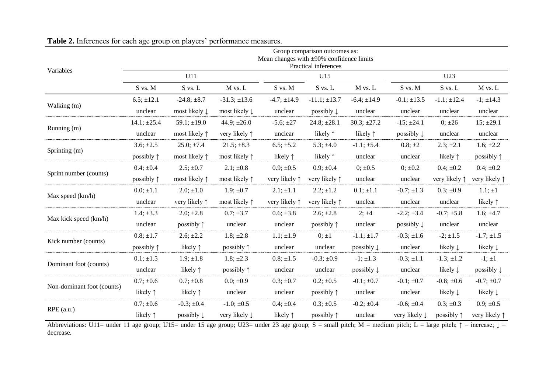| Variables                  | Group comparison outcomes as:<br>Mean changes with $\pm 90\%$ confidence limits<br>Practical inferences |                          |                          |                        |                        |                       |                          |                        |                        |  |  |  |
|----------------------------|---------------------------------------------------------------------------------------------------------|--------------------------|--------------------------|------------------------|------------------------|-----------------------|--------------------------|------------------------|------------------------|--|--|--|
|                            | U11                                                                                                     |                          |                          |                        | U15                    |                       | U23                      |                        |                        |  |  |  |
|                            | S vs. M                                                                                                 | S vs. L                  | $M$ vs. $L$              | $S$ vs. $M$            | S vs. L                | M vs. L               | S vs. M                  | S vs. L                | M vs. L                |  |  |  |
| Walking (m)                | $6.5; \pm 12.1$                                                                                         | $-24.8; \pm 8.7$         | $-31.3; \pm 13.6$        | $-4.7; \pm 14.9$       | $-11.1; \pm 13.7$      | $-6.4; \pm 14.9$      | $-0.1$ ; $\pm$ 13.5      | $-1.1; \pm 12.4$       | $-1$ ; $\pm$ 14.3      |  |  |  |
|                            | unclear                                                                                                 | most likely $\downarrow$ | most likely $\downarrow$ | unclear                | possibly $\downarrow$  | unclear               | unclear                  | unclear                | unclear                |  |  |  |
| Running (m)                | $14.1; \pm 25.4$                                                                                        | $59.1; \pm 19.0$         | 44.9; $\pm 26.0$         | $-5.6; \pm 27$         | $24.8; \pm 28.1$       | $30.3; \pm 27.2$      | $-15$ ; $\pm 24.1$       | $0; \pm 26$            | $15; \pm 29.1$         |  |  |  |
|                            | unclear                                                                                                 | most likely $\uparrow$   | very likely $\uparrow$   | unclear                | likely $\uparrow$      | likely $\uparrow$     | possibly $\downarrow$    | unclear                | unclear                |  |  |  |
| Sprinting (m)              | $3.6; \pm 2.5$                                                                                          | $25.0; \pm 7.4$          | $21.5$ ; $\pm 8.3$       | $6.5; \pm 5.2$         | $5.3; \pm 4.0$         | $-1.1; \pm 5.4$       | $0.8; \pm 2$             | $2.3; \pm 2.1$         | $1.6; \pm 2.2$         |  |  |  |
|                            | possibly $\uparrow$                                                                                     | most likely $\uparrow$   | most likely $\uparrow$   | likely $\uparrow$      | likely $\uparrow$      | unclear               | unclear                  | likely $\uparrow$      | possibly $\uparrow$    |  |  |  |
| Sprint number (counts)     | $0.4; \pm 0.4$                                                                                          | $2.5; \pm 0.7$           | $2.1; \pm 0.8$           | $0.9; \pm 0.5$         | $0.9; \pm 0.4$         | $0; \pm 0.5$          | $0; \pm 0.2$             | $0.4; \pm 0.2$         | $0.4; \pm 0.2$         |  |  |  |
|                            | possibly $\uparrow$                                                                                     | most likely $\uparrow$   | most likely $\uparrow$   | very likely 1          | very likely $\uparrow$ | unclear               | unclear                  | very likely $\uparrow$ | very likely $\uparrow$ |  |  |  |
| Max speed (km/h)           | $0.0; \pm 1.1$                                                                                          | $2.0; \pm 1.0$           | $1.9; \pm 0.7$           | $2.1; \pm 1.1$         | $2.2; \pm 1.2$         | $0.1; \pm 1.1$        | $-0.7; \pm 1.3$          | $0.3; \pm 0.9$         | $1.1; \pm 1$           |  |  |  |
|                            | unclear                                                                                                 | very likely $\uparrow$   | most likely $\uparrow$   | very likely $\uparrow$ | very likely $\uparrow$ | unclear               | unclear                  | unclear                | likely $\uparrow$      |  |  |  |
| Max kick speed (km/h)      | 1.4; $\pm 3.3$                                                                                          | $2.0; \pm 2.8$           | $0.7; \pm 3.7$           | $0.6; \pm 3.8$         | $2.6; \pm 2.8$         | 2; ±4                 | $-2.2; \pm 3.4$          | $-0.7; \pm 5.8$        | $1.6; \pm 4.7$         |  |  |  |
|                            | unclear                                                                                                 | possibly $\uparrow$      | unclear                  | unclear                | possibly $\uparrow$    | unclear               | possibly $\downarrow$    | unclear                | unclear                |  |  |  |
| Kick number (counts)       | $0.8; \pm 1.7$                                                                                          | $2.6; \pm 2.2$           | $1.8; \pm 2.8$           | $1.1; \pm 1.9$         | $0; \pm 1$             | $-1.1; \pm 1.7$       | $-0.3; \pm 1.6$          | $-2; \pm 1.5$          | $-1.7; \pm 1.5$        |  |  |  |
|                            | possibly $\uparrow$                                                                                     | likely $\uparrow$        | possibly $\uparrow$      | unclear                | unclear                | possibly $\downarrow$ | unclear                  | likely $\downarrow$    | likely $\downarrow$    |  |  |  |
| Dominant foot (counts)     | $0.1; \pm 1.5$                                                                                          | $1.9; \pm 1.8$           | $1.8; \pm 2.3$           | $0.8; \pm 1.5$         | $-0.3; \pm 0.9$        | $-1; \pm 1.3$         | $-0.3; \pm 1.1$          | $-1.3; \pm 1.2$        | $-1; \pm 1$            |  |  |  |
|                            | unclear                                                                                                 | likely $\uparrow$        | possibly $\uparrow$      | unclear                | unclear                | possibly $\downarrow$ | unclear                  | likely $\downarrow$    | possibly $\downarrow$  |  |  |  |
| Non-dominant foot (counts) | $0.7; \pm 0.6$                                                                                          | $0.7; \pm 0.8$           | $0.0; \pm 0.9$           | $0.3; \pm 0.7$         | $0.2; \pm 0.5$         | $-0.1; \pm 0.7$       | $-0.1; \pm 0.7$          | $-0.8; \pm 0.6$        | $-0.7; \pm 0.7$        |  |  |  |
|                            | likely $\uparrow$                                                                                       | likely $\uparrow$        | unclear                  | unclear                | possibly $\uparrow$    | unclear               | unclear                  | likely $\downarrow$    | likely $\downarrow$    |  |  |  |
| $RPE$ (a.u.)               | $0.7; \pm 0.6$                                                                                          | $-0.3; \pm 0.4$          | $-1.0; \pm 0.5$          | $0.4; \pm 0.4$         | $0.3; \pm 0.5$         | $-0.2; \pm 0.4$       | $-0.6; \pm 0.4$          | $0.3; \pm 0.3$         | $0.9; \pm 0.5$         |  |  |  |
|                            | likely $\uparrow$                                                                                       | possibly $\downarrow$    | very likely $\downarrow$ | likely $\uparrow$      | possibly $\uparrow$    | unclear               | very likely $\downarrow$ | possibly 1             | very likely $\uparrow$ |  |  |  |

# **Table 2.** Inferences for each age group on players' performance measures.

Abbreviations: U11= under 11 age group; U15= under 15 age group; U23= under 23 age group; S = small pitch; M = medium pitch; L = large pitch;  $\uparrow$  = increase;  $\downarrow$  = decrease.